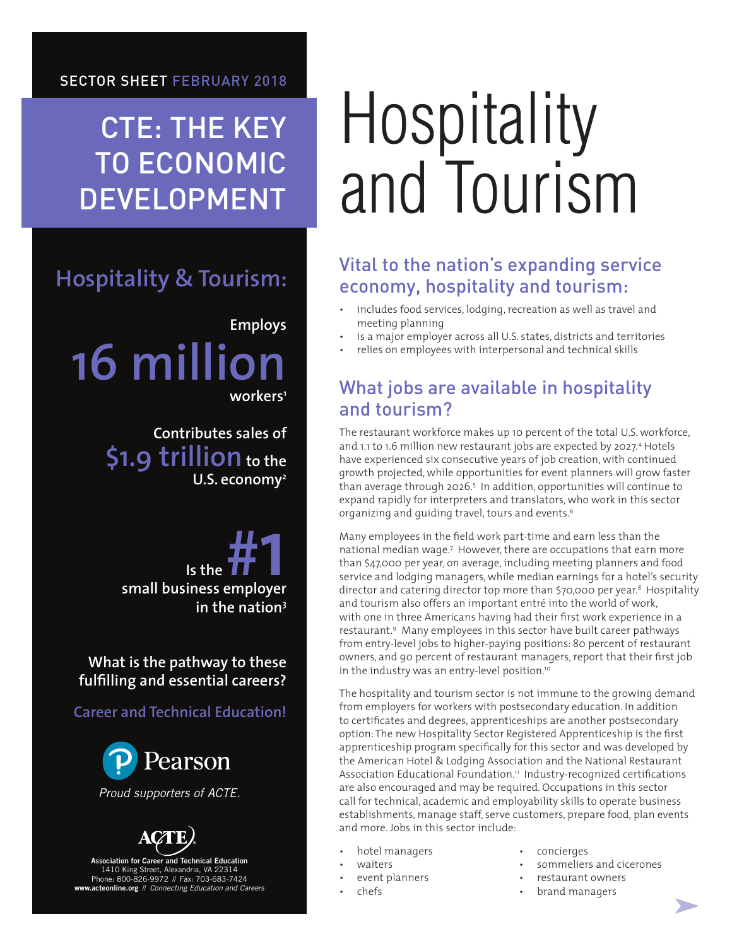CTE: THE KEY TO ECONOMIC DEVELOPMENT

## **Hospitality & Tourism:**

**Employs 16 million workers1**

> **Contributes sales of** \$1.9 trillion to the **U.S. economy2**

**Is the <b>H**<br>
Is the **H**<br> **IS the FIFE SMARK**<br>
Small business employer **in the nation3**

**What is the pathway to these fulfilling and essential careers?** 

**Career and Technical Education!**



*Proud supporters of ACTE.*



Association for Career and Technical Education 1410 King Street, Alexandria, VA 22314 Phone: 800-826-9972 // Fax: 703-683-7424 www.acteonline.org // *Connecting Education and Careers*

# Hospitality and Tourism

### Vital to the nation's expanding service economy, hospitality and tourism:

- includes food services, lodging, recreation as well as travel and meeting planning
- is a major employer across all U.S. states, districts and territories
- relies on employees with interpersonal and technical skills

### What jobs are available in hospitality and tourism?

The restaurant workforce makes up 10 percent of the total U.S. workforce, and 1.1 to 1.6 million new restaurant jobs are expected by 2027.4 Hotels have experienced six consecutive years of job creation, with continued growth projected, while opportunities for event planners will grow faster than average through 2026.5 In addition, opportunities will continue to expand rapidly for interpreters and translators, who work in this sector organizing and quiding travel, tours and events.<sup>6</sup>

Many employees in the field work part-time and earn less than the national median wage.7 However, there are occupations that earn more than \$47,000 per year, on average, including meeting planners and food service and lodging managers, while median earnings for a hotel's security director and catering director top more than \$70,000 per year.8 Hospitality and tourism also offers an important entré into the world of work, with one in three Americans having had their first work experience in a restaurant.9 Many employees in this sector have built career pathways from entry-level jobs to higher-paying positions: 80 percent of restaurant owners, and 90 percent of restaurant managers, report that their first job in the industry was an entry-level position.<sup>10</sup>

The hospitality and tourism sector is not immune to the growing demand from employers for workers with postsecondary education. In addition to certificates and degrees, apprenticeships are another postsecondary option: The new Hospitality Sector Registered Apprenticeship is the first apprenticeship program specifically for this sector and was developed by the American Hotel & Lodging Association and the National Restaurant Association Educational Foundation.<sup>11</sup> Industry-recognized certifications are also encouraged and may be required. Occupations in this sector call for technical, academic and employability skills to operate business establishments, manage staff, serve customers, prepare food, plan events and more. Jobs in this sector include:

- hotel managers
- waiters
- event planners
- chefs
- concierges
- sommeliers and cicerones
- restaurant owners
	- brand managers